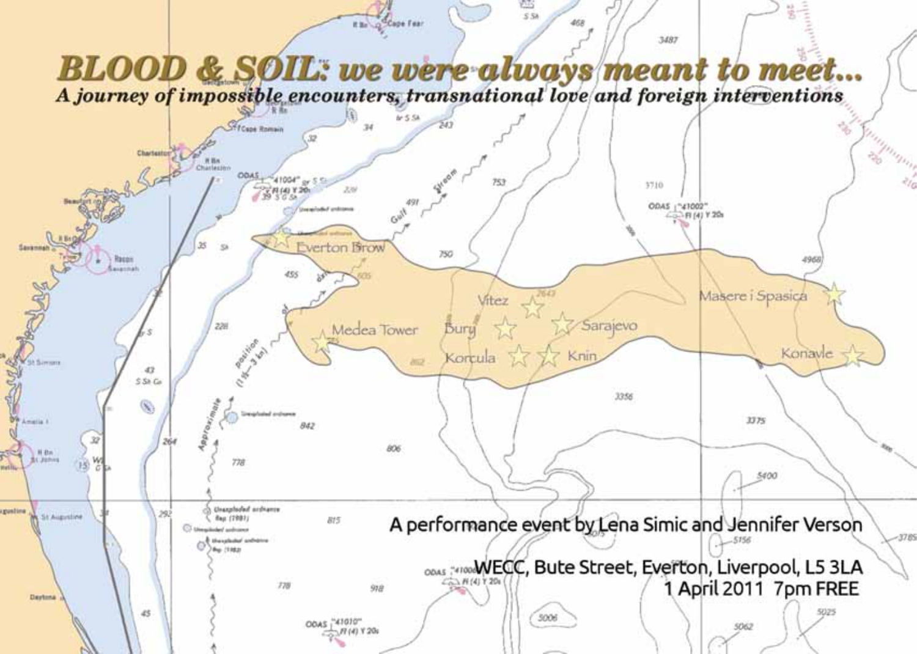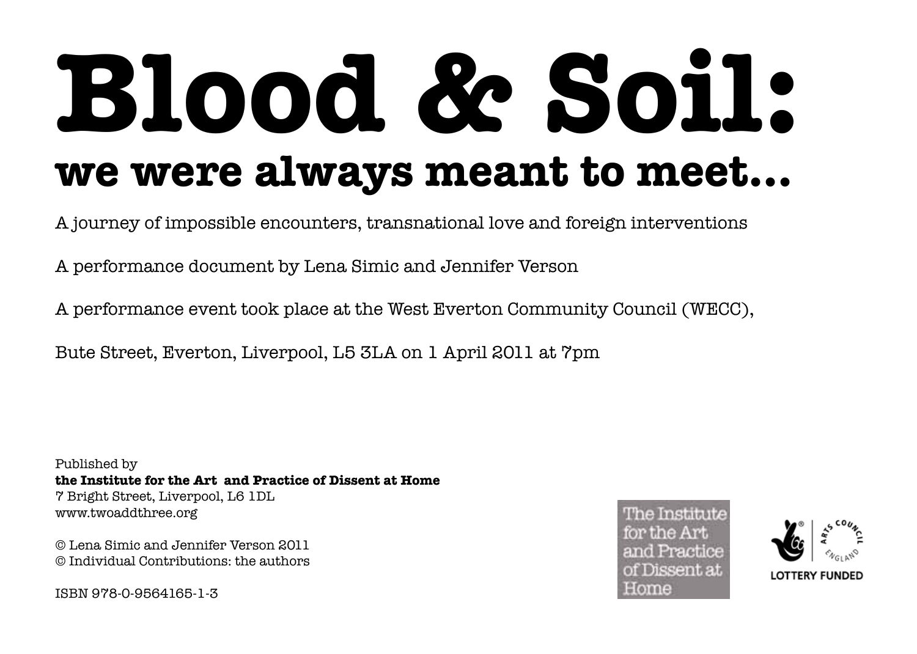# **Blood & Soil: we were always meant to meet...**

A journey of impossible encounters, transnational love and foreign interventions

A performance document by Lena Simic and Jennifer Verson

A performance event took place at the West Everton Community Council (WECC),

Bute Street, Everton, Liverpool, L5 3LA on 1 April 2011 at 7pm

Published by **the Institute for the Art and Practice of Dissent at Home** 7 Bright Street, Liverpool, L6 1DL www.twoaddthree.org

© Lena Simic and Jennifer Verson 2011 © Individual Contributions: the authors

ISBN 978-0-9564165-1-3



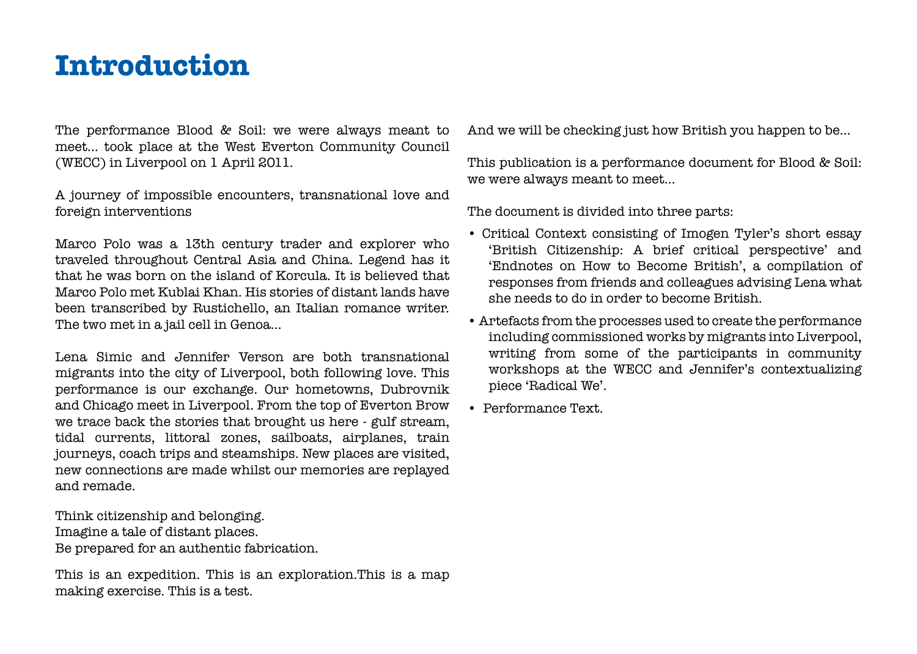# **Introduction**

The performance Blood & Soil: we were always meant to meet... took place at the West Everton Community Council (WECC) in Liverpool on 1 April 2011.

A journey of impossible encounters, transnational love and foreign interventions

Marco Polo was a 13th century trader and explorer who traveled throughout Central Asia and China. Legend has it that he was born on the island of Korcula. It is believed that Marco Polo met Kublai Khan. His stories of distant lands have been transcribed by Rustichello, an Italian romance writer. The two met in a jail cell in Genoa...

Lena Simic and Jennifer Verson are both transnational migrants into the city of Liverpool, both following love. This performance is our exchange. Our hometowns, Dubrovnik and Chicago meet in Liverpool. From the top of Everton Brow we trace back the stories that brought us here - gulf stream, tidal currents, littoral zones, sailboats, airplanes, train journeys, coach trips and steamships. New places are visited, new connections are made whilst our memories are replayed and remade.

Think citizenship and belonging. Imagine a tale of distant places. Be prepared for an authentic fabrication.

This is an expedition. This is an exploration.This is a map making exercise. This is a test.

And we will be checking just how British you happen to be...

This publication is a performance document for Blood & Soil: we were always meant to meet...

The document is divided into three parts:

- Critical Context consisting of Imogen Tyler's short essay 'British Citizenship: A brief critical perspective' and 'Endnotes on How to Become British', a compilation of responses from friends and colleagues advising Lena what she needs to do in order to become British.
- Artefacts from the processes used to create the performance including commissioned works by migrants into Liverpool, writing from some of the participants in community workshops at the WECC and Jennifer's contextualizing piece 'Radical We'.
- Performance Text.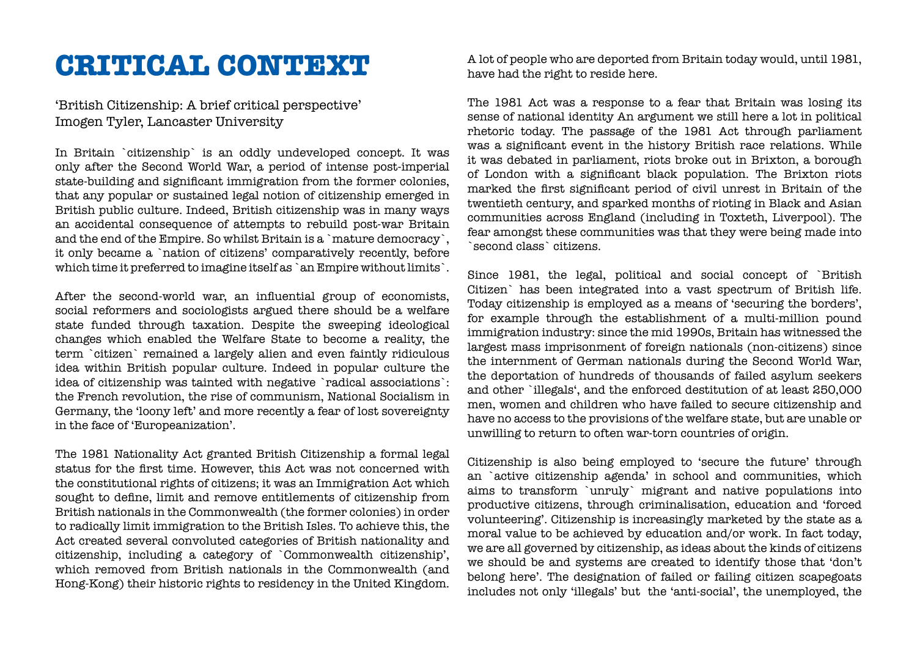# **CRITICAL CONTEXT**

'British Citizenship: A brief critical perspective' Imogen Tyler, Lancaster University

In Britain `citizenship` is an oddly undeveloped concept. It was only after the Second World War, a period of intense post-imperial state-building and significant immigration from the former colonies, that any popular or sustained legal notion of citizenship emerged in British public culture. Indeed, British citizenship was in many ways an accidental consequence of attempts to rebuild post-war Britain and the end of the Empire. So whilst Britain is a `mature democracy`, it only became a `nation of citizens' comparatively recently, before which time it preferred to imagine itself as `an Empire without limits`.

After the second-world war, an influential group of economists, social reformers and sociologists argued there should be a welfare state funded through taxation. Despite the sweeping ideological changes which enabled the Welfare State to become a reality, the term `citizen` remained a largely alien and even faintly ridiculous idea within British popular culture. Indeed in popular culture the idea of citizenship was tainted with negative `radical associations`: the French revolution, the rise of communism, National Socialism in Germany, the 'loony left' and more recently a fear of lost sovereignty in the face of 'Europeanization'.

The 1981 Nationality Act granted British Citizenship a formal legal status for the first time. However, this Act was not concerned with the constitutional rights of citizens; it was an Immigration Act which sought to define, limit and remove entitlements of citizenship from British nationals in the Commonwealth (the former colonies) in order to radically limit immigration to the British Isles. To achieve this, the Act created several convoluted categories of British nationality and citizenship, including a category of `Commonwealth citizenship', which removed from British nationals in the Commonwealth (and Hong-Kong) their historic rights to residency in the United Kingdom.

A lot of people who are deported from Britain today would, until 1981, have had the right to reside here.

The 1981 Act was a response to a fear that Britain was losing its sense of national identity An argument we still here a lot in political rhetoric today. The passage of the 1981 Act through parliament was a significant event in the history British race relations. While it was debated in parliament, riots broke out in Brixton, a borough of London with a significant black population. The Brixton riots marked the first significant period of civil unrest in Britain of the twentieth century, and sparked months of rioting in Black and Asian communities across England (including in Toxteth, Liverpool). The fear amongst these communities was that they were being made into `second class` citizens.

Since 1981, the legal, political and social concept of `British Citizen` has been integrated into a vast spectrum of British life. Today citizenship is employed as a means of 'securing the borders', for example through the establishment of a multi-million pound immigration industry: since the mid 1990s, Britain has witnessed the largest mass imprisonment of foreign nationals (non-citizens) since the internment of German nationals during the Second World War, the deportation of hundreds of thousands of failed asylum seekers and other `illegals', and the enforced destitution of at least 250,000 men, women and children who have failed to secure citizenship and have no access to the provisions of the welfare state, but are unable or unwilling to return to often war-torn countries of origin.

Citizenship is also being employed to 'secure the future' through an `active citizenship agenda' in school and communities, which aims to transform `unruly` migrant and native populations into productive citizens, through criminalisation, education and 'forced volunteering'. Citizenship is increasingly marketed by the state as a moral value to be achieved by education and/or work. In fact today, we are all governed by citizenship, as ideas about the kinds of citizens we should be and systems are created to identify those that 'don't belong here'. The designation of failed or failing citizen scapegoats includes not only 'illegals' but the 'anti-social', the unemployed, the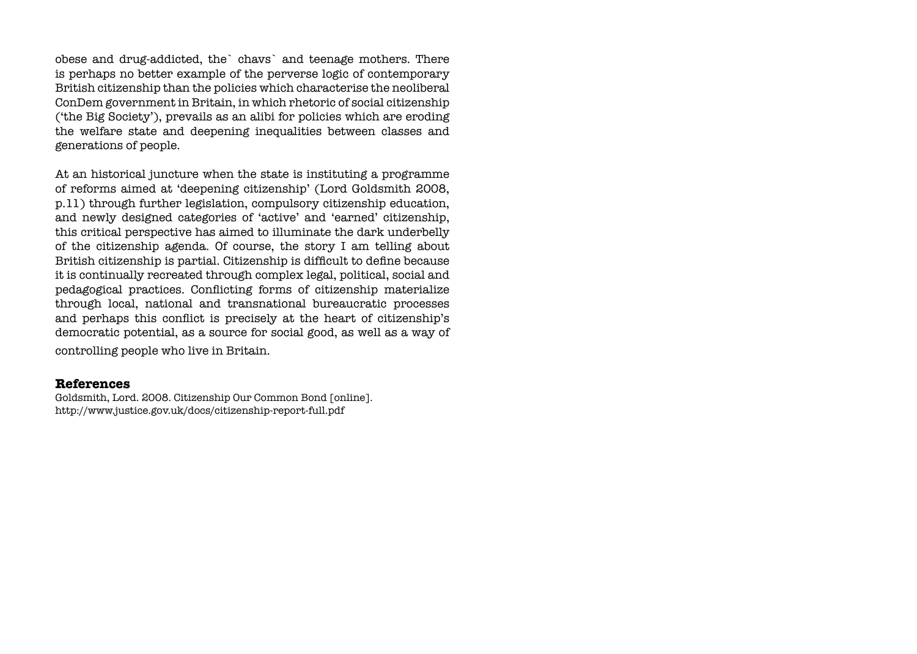obese and drug-addicted, the` chavs` and teenage mothers. There is perhaps no better example of the perverse logic of contemporary British citizenship than the policies which characterise the neoliberal ConDem government in Britain, in which rhetoric of social citizenship ('the Big Society'), prevails as an alibi for policies which are eroding the welfare state and deepening inequalities between classes and generations of people.

At an historical juncture when the state is instituting a programme of reforms aimed at 'deepening citizenship' (Lord Goldsmith 2008, p.11) through further legislation, compulsory citizenship education, and newly designed categories of 'active' and 'earned' citizenship, this critical perspective has aimed to illuminate the dark underbelly of the citizenship agenda. Of course, the story I am telling about British citizenship is partial. Citizenship is difficult to define because it is continually recreated through complex legal, political, social and pedagogical practices. Conflicting forms of citizenship materialize through local, national and transnational bureaucratic processes and perhaps this conflict is precisely at the heart of citizenship's democratic potential, as a source for social good, as well as a way of controlling people who live in Britain.

## **References**

Goldsmith, Lord. 2008. Citizenship Our Common Bond [online]. http://www.justice.gov.uk/docs/citizenship-report-full.pdf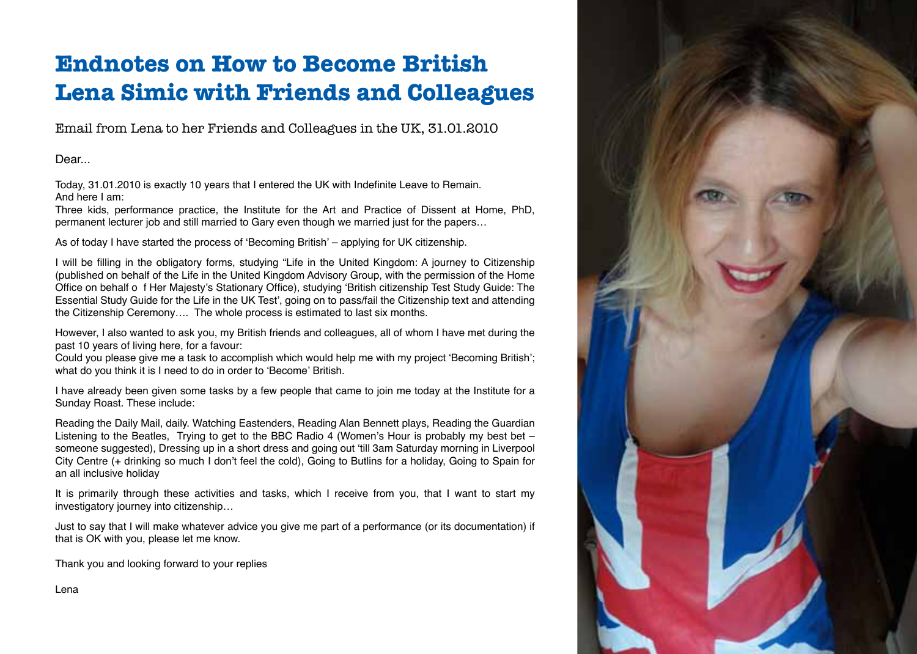## **Endnotes on How to Become British Lena Simic with Friends and Colleagues**

Email from Lena to her Friends and Colleagues in the UK, 31.01.2010

Dear...

Today, 31.01.2010 is exactly 10 years that I entered the UK with Indefinite Leave to Remain. And here I am:

Three kids, performance practice, the Institute for the Art and Practice of Dissent at Home, PhD, permanent lecturer job and still married to Gary even though we married just for the papers…

As of today I have started the process of 'Becoming British' – applying for UK citizenship.

I will be filling in the obligatory forms, studying "Life in the United Kingdom: A journey to Citizenship (published on behalf of the Life in the United Kingdom Advisory Group, with the permission of the Home Office on behalf o f Her Majesty's Stationary Office), studying 'British citizenship Test Study Guide: The Essential Study Guide for the Life in the UK Test', going on to pass/fail the Citizenship text and attending the Citizenship Ceremony…. The whole process is estimated to last six months.

However, I also wanted to ask you, my British friends and colleagues, all of whom I have met during the past 10 years of living here, for a favour:

Could you please give me a task to accomplish which would help me with my project 'Becoming British'; what do you think it is I need to do in order to 'Become' British.

I have already been given some tasks by a few people that came to join me today at the Institute for a Sunday Roast. These include:

Reading the Daily Mail, daily. Watching Eastenders, Reading Alan Bennett plays, Reading the Guardian Listening to the Beatles, Trying to get to the BBC Radio 4 (Women's Hour is probably my best bet – someone suggested), Dressing up in a short dress and going out 'till 3am Saturday morning in Liverpool City Centre (+ drinking so much I don't feel the cold), Going to Butlins for a holiday, Going to Spain for an all inclusive holiday

It is primarily through these activities and tasks, which I receive from you, that I want to start my investigatory journey into citizenship…

Just to say that I will make whatever advice you give me part of a performance (or its documentation) if that is OK with you, please let me know.

Thank you and looking forward to your replies



Lena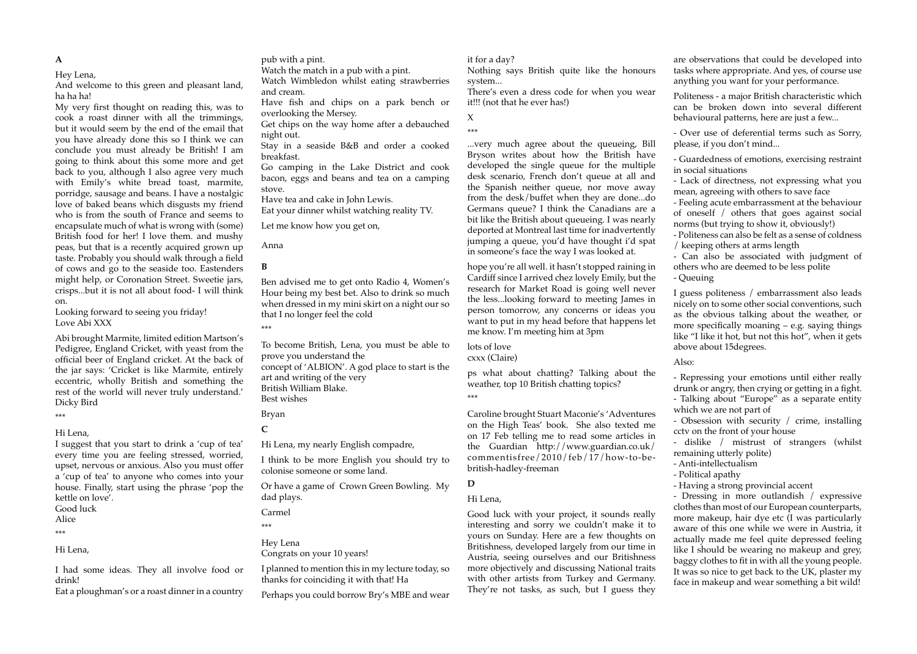### **A**

## Hey Lena,

And welcome to this green and pleasant land, ha ha ha!

My very first thought on reading this, was to cook a roast dinner with all the trimmings, but it would seem by the end of the email that you have already done this so I think we can conclude you must already be British! I am going to think about this some more and get back to you, although I also agree very much with Emily's white bread toast, marmite, porridge, sausage and beans. I have a nostalgic love of baked beans which disgusts my friend who is from the south of France and seems to encapsulate much of what is wrong with (some) British food for her! I love them. and mushy peas, but that is a recently acquired grown up taste. Probably you should walk through a field of cows and go to the seaside too. Eastenders might help, or Coronation Street. Sweetie jars, crisps...but it is not all about food- I will think on.

Looking forward to seeing you friday! Love Abi XXX

Abi brought Marmite, limited edition Martson's Pedigree, England Cricket, with yeast from the official beer of England cricket. At the back of the jar says: 'Cricket is like Marmite, entirely eccentric, wholly British and something the rest of the world will never truly understand.' Dicky Bird

\*\*\*

#### Hi Lena,

I suggest that you start to drink a 'cup of tea' every time you are feeling stressed, worried, upset, nervous or anxious. Also you must offer a 'cup of tea' to anyone who comes into your house. Finally, start using the phrase 'pop the kettle on love'. Good luck

Alice

\*\*\*

#### Hi Lena,

I had some ideas. They all involve food or drink!

Eat a ploughman's or a roast dinner in a country

pub with a pint.

Watch the match in a pub with a pint.

Watch Wimbledon whilst eating strawberries and cream.

Have fish and chips on a park bench or overlooking the Mersey.

Get chips on the way home after a debauched night out.

Stay in a seaside B&B and order a cooked breakfast.

Go camping in the Lake District and cook bacon, eggs and beans and tea on a camping stove.

Have tea and cake in John Lewis.

Eat your dinner whilst watching reality TV.

Let me know how you get on,

## Anna

### **B**

Ben advised me to get onto Radio 4, Women's Hour being my best bet. Also to drink so much when dressed in my mini skirt on a night our so that I no longer feel the cold

## \*\*\*

To become British, Lena, you must be able to prove you understand the concept of 'ALBION'. A god place to start is the art and writing of the very British William Blake. Best wishes

Bryan

## **C**

Hi Lena, my nearly English compadre,

I think to be more English you should try to colonise someone or some land.

Or have a game of Crown Green Bowling. My dad plays.

#### Carmel

\*\*\*

Hey Lena

thanks for coinciding it with that! Ha

Perhaps you could borrow Bry's MBE and wear

it for a day?

Nothing says British quite like the honours system...

There's even a dress code for when you wear it!!! (not that he ever has!)

X

\*\*\*

...very much agree about the queueing, Bill Bryson writes about how the British have developed the single queue for the multiple desk scenario, French don't queue at all and the Spanish neither queue, nor move away from the desk/buffet when they are done...do Germans queue? I think the Canadians are a bit like the British about queueing. I was nearly deported at Montreal last time for inadvertently jumping a queue, you'd have thought i'd spat in someone's face the way I was looked at.

hope you're all well. it hasn't stopped raining in Cardiff since I arrived chez lovely Emily, but the research for Market Road is going well never the less...looking forward to meeting James in person tomorrow, any concerns or ideas you want to put in my head before that happens let me know. I'm meeting him at 3pm

## lots of love

## cxxx (Claire)

ps what about chatting? Talking about the weather, top 10 British chatting topics?

\*\*\*

Caroline brought Stuart Maconie's 'Adventures on the High Teas' book. She also texted me on 17 Feb telling me to read some articles in the Guardian http://www.guardian.co.uk/ commentisfree/2010/feb/17/how-to-bebritish-hadley-freeman

## **D**

## Hi Lena,

Good luck with your project, it sounds really interesting and sorry we couldn't make it to yours on Sunday. Here are a few thoughts on Britishness, developed largely from our time in Austria, seeing ourselves and our Britishness more objectively and discussing National traits with other artists from Turkey and Germany. They're not tasks, as such, but I guess they

are observations that could be developed into tasks where appropriate. And yes, of course use anything you want for your performance.

Politeness - a major British characteristic which can be broken down into several different behavioural patterns, here are just a few...

- Over use of deferential terms such as Sorry, please, if you don't mind...

- Guardedness of emotions, exercising restraint in social situations
- Lack of directness, not expressing what you mean, agreeing with others to save face
- Feeling acute embarrassment at the behaviour of oneself / others that goes against social norms (but trying to show it, obviously!)
- Politeness can also be felt as a sense of coldness
- / keeping others at arms length
- Can also be associated with judgment of others who are deemed to be less polite
- Queuing

I guess politeness / embarrassment also leads nicely on to some other social conventions, such as the obvious talking about the weather, or more specifically moaning – e.g. saying things like "I like it hot, but not this hot", when it gets above about 15degrees.

#### Also:

- Repressing your emotions until either really drunk or angry, then crying or getting in a fight.
- Talking about "Europe" as a separate entity which we are not part of
- Obsession with security / crime, installing cctv on the front of your house
- dislike / mistrust of strangers (whilst remaining utterly polite)
- Anti-intellectualism
- Political apathy
- Having a strong provincial accent

- Dressing in more outlandish / expressive clothes than most of our European counterparts, more makeup, hair dye etc (I was particularly aware of this one while we were in Austria, it actually made me feel quite depressed feeling like I should be wearing no makeup and grey, baggy clothes to fit in with all the young people. It was so nice to get back to the UK, plaster my face in makeup and wear something a bit wild!

## Congrats on your 10 years!

I planned to mention this in my lecture today, so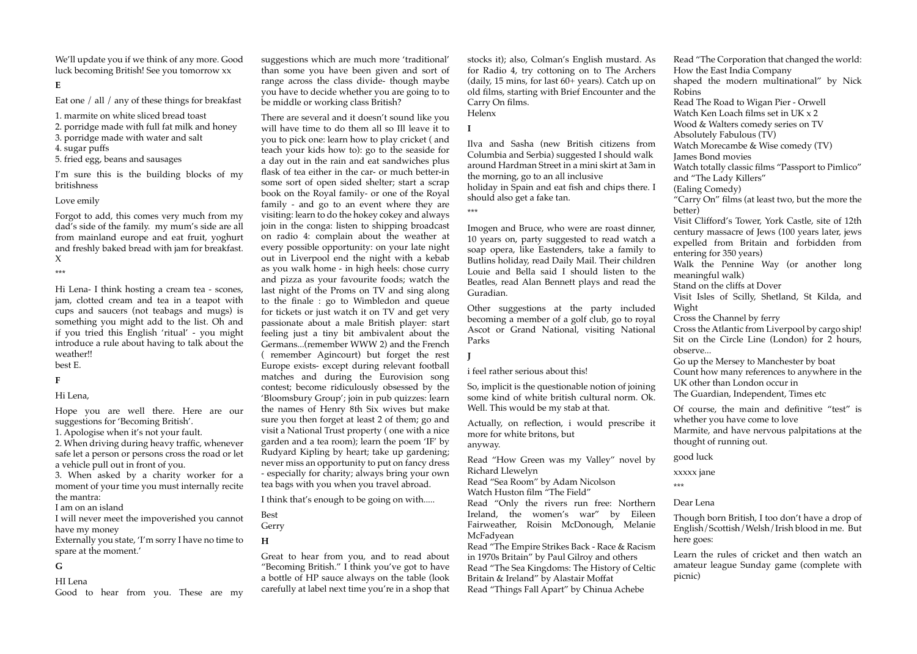We'll update you if we think of any more. Good luck becoming British! See you tomorrow xx

## **E**

Eat one / all / any of these things for breakfast

- 1. marmite on white sliced bread toast
- 2. porridge made with full fat milk and honey
- 3. porridge made with water and salt
- 4. sugar puffs
- 5. fried egg, beans and sausages

I'm sure this is the building blocks of my britishness

#### Love emily

Forgot to add, this comes very much from my dad's side of the family. my mum's side are all from mainland europe and eat fruit, yoghurt and freshly baked bread with jam for breakfast. X

## \*\*\*

Hi Lena- I think hosting a cream tea - scones, jam, clotted cream and tea in a teapot with cups and saucers (not teabags and mugs) is something you might add to the list. Oh and if you tried this English 'ritual' - you might introduce a rule about having to talk about the weather!! best E.

## **F**

## Hi Lena,

Hope you are well there. Here are our suggestions for 'Becoming British'.

1. Apologise when it's not your fault.

2. When driving during heavy traffic, whenever safe let a person or persons cross the road or let a vehicle pull out in front of you.

3. When asked by a charity worker for a moment of your time you must internally recite the mantra:

I am on an island

I will never meet the impoverished you cannot have my money

Externally you state, 'I'm sorry I have no time to spare at the moment.'

## **G**

## HI Lena

Good to hear from you. These are my

suggestions which are much more 'traditional' than some you have been given and sort of range across the class divide- though maybe you have to decide whether you are going to to be middle or working class British?

There are several and it doesn't sound like you will have time to do them all so Ill leave it to you to pick one: learn how to play cricket ( and teach your kids how to): go to the seaside for a day out in the rain and eat sandwiches plus flask of tea either in the car- or much better-in some sort of open sided shelter; start a scrap book on the Royal family- or one of the Royal family - and go to an event where they are visiting: learn to do the hokey cokey and always join in the conga: listen to shipping broadcast on radio 4: complain about the weather at every possible opportunity: on your late night out in Liverpool end the night with a kebab as you walk home - in high heels: chose curry and pizza as your favourite foods; watch the last night of the Proms on TV and sing along to the finale : go to Wimbledon and queue for tickets or just watch it on TV and get very passionate about a male British player: start feeling just a tiny bit ambivalent about the Germans...(remember WWW 2) and the French ( remember Agincourt) but forget the rest Europe exists- except during relevant football matches and during the Eurovision song contest; become ridiculously obsessed by the 'Bloomsbury Group'; join in pub quizzes: learn the names of Henry 8th Six wives but make sure you then forget at least 2 of them; go and visit a National Trust property ( one with a nice garden and a tea room); learn the poem 'IF' by Rudyard Kipling by heart; take up gardening; never miss an opportunity to put on fancy dress - especially for charity; always bring your own tea bags with you when you travel abroad.

I think that's enough to be going on with.....

Best

Gerry **H**

Great to hear from you, and to read about "Becoming British." I think you've got to have a bottle of HP sauce always on the table (look carefully at label next time you're in a shop that

stocks it); also, Colman's English mustard. As for Radio 4, try cottoning on to The Archers (daily, 15 mins, for last 60+ years). Catch up on old films, starting with Brief Encounter and the Carry On films. Helenx

**I**

Ilva and Sasha (new British citizens from Columbia and Serbia) suggested I should walk around Hardman Street in a mini skirt at 3am in the morning, go to an all inclusive holiday in Spain and eat fish and chips there. I should also get a fake tan.

\*\*\*

Imogen and Bruce, who were are roast dinner, 10 years on, party suggested to read watch a soap opera, like Eastenders, take a family to Butlins holiday, read Daily Mail. Their children Louie and Bella said I should listen to the Beatles, read Alan Bennett plays and read the Guradian.

Other suggestions at the party included becoming a member of a golf club, go to royal Ascot or Grand National, visiting National Parks

**J**

## i feel rather serious about this!

So, implicit is the questionable notion of joining some kind of white british cultural norm. Ok. Well. This would be my stab at that.

Actually, on reflection, i would prescribe it more for white britons, but anyway.

Read "How Green was my Valley" novel by Richard Llewelyn

Read "Sea Room" by Adam Nicolson

Watch Huston film "The Field"

Read "Only the rivers run free: Northern Ireland, the women's war" by Eileen Fairweather, Roisin McDonough, Melanie McFadyean

Read "The Empire Strikes Back - Race & Racism in 1970s Britain" by Paul Gilroy and others Read "The Sea Kingdoms: The History of Celtic Britain & Ireland" by Alastair Moffat Read "Things Fall Apart" by Chinua Achebe

How the East India Company shaped the modern multinational" by Nick Robins Read The Road to Wigan Pier - Orwell Watch Ken Loach films set in UK x 2 Wood & Walters comedy series on TV Absolutely Fabulous (TV) Watch Morecambe & Wise comedy (TV) James Bond movies Watch totally classic films "Passport to Pimlico" and "The Lady Killers" (Ealing Comedy) "Carry On" films (at least two, but the more the better) Visit Clifford's Tower, York Castle, site of 12th century massacre of Jews (100 years later, jews expelled from Britain and forbidden from entering for 350 years) Walk the Pennine Way (or another long meaningful walk) Stand on the cliffs at Dover Visit Isles of Scilly, Shetland, St Kilda, and Wight Cross the Channel by ferry Cross the Atlantic from Liverpool by cargo ship! Sit on the Circle Line (London) for 2 hours, observe... Go up the Mersey to Manchester by boat Count how many references to anywhere in the UK other than London occur in The Guardian, Independent, Times etc Of course, the main and definitive "test" is whether you have come to love Marmite, and have nervous palpitations at the thought of running out. good luck

Read "The Corporation that changed the world:

xxxxx jane \*\*\*

Dear Lena

Though born British, I too don't have a drop of English/Scottish/Welsh/Irish blood in me. But here goes:

Learn the rules of cricket and then watch an amateur league Sunday game (complete with picnic)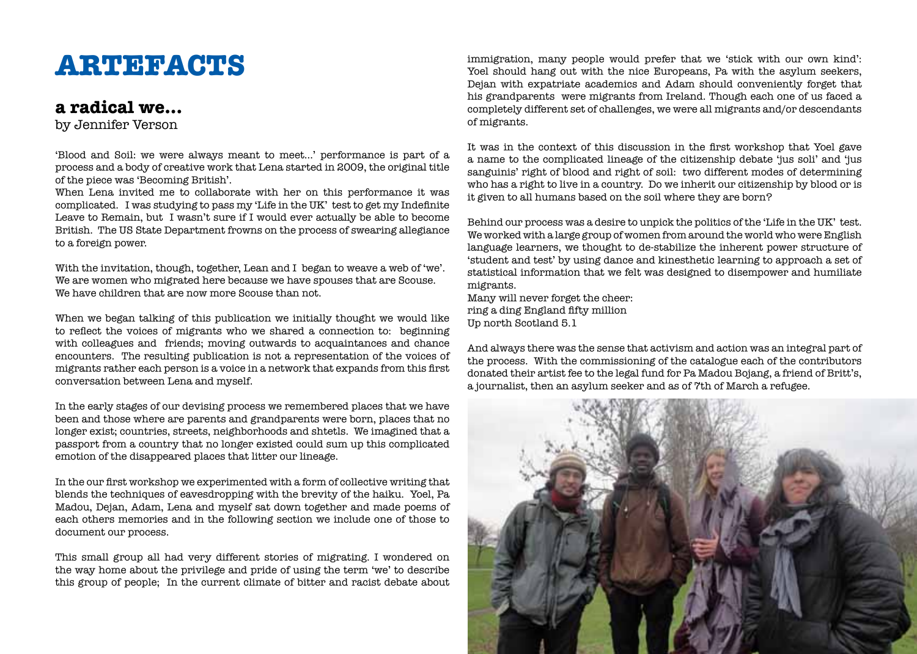# **ARTEFACTS**

## **a radical we...**

by Jennifer Verson

'Blood and Soil: we were always meant to meet...' performance is part of a process and a body of creative work that Lena started in 2009, the original title of the piece was 'Becoming British'.

When Lena invited me to collaborate with her on this performance it was complicated. I was studying to pass my 'Life in the UK' test to get my Indefinite Leave to Remain, but I wasn't sure if I would ever actually be able to become British. The US State Department frowns on the process of swearing allegiance to a foreign power.

With the invitation, though, together, Lean and I began to weave a web of 'we'. We are women who migrated here because we have spouses that are Scouse. We have children that are now more Scouse than not.

When we began talking of this publication we initially thought we would like to reflect the voices of migrants who we shared a connection to: beginning with colleagues and friends; moving outwards to acquaintances and chance encounters. The resulting publication is not a representation of the voices of migrants rather each person is a voice in a network that expands from this first conversation between Lena and myself.

In the early stages of our devising process we remembered places that we have been and those where are parents and grandparents were born, places that no longer exist; countries, streets, neighborhoods and shtetls. We imagined that a passport from a country that no longer existed could sum up this complicated emotion of the disappeared places that litter our lineage.

In the our first workshop we experimented with a form of collective writing that blends the techniques of eavesdropping with the brevity of the haiku. Yoel, Pa Madou, Dejan, Adam, Lena and myself sat down together and made poems of each others memories and in the following section we include one of those to document our process.

This small group all had very different stories of migrating. I wondered on the way home about the privilege and pride of using the term 'we' to describe this group of people; In the current climate of bitter and racist debate about immigration, many people would prefer that we 'stick with our own kind': Yoel should hang out with the nice Europeans, Pa with the asylum seekers, Dejan with expatriate academics and Adam should conveniently forget that his grandparents were migrants from Ireland. Though each one of us faced a completely different set of challenges, we were all migrants and/or descendants of migrants.

It was in the context of this discussion in the first workshop that Yoel gave a name to the complicated lineage of the citizenship debate 'jus soli' and 'jus sanguinis' right of blood and right of soil: two different modes of determining who has a right to live in a country. Do we inherit our citizenship by blood or is it given to all humans based on the soil where they are born?

Behind our process was a desire to unpick the politics of the 'Life in the UK' test. We worked with a large group of women from around the world who were English language learners, we thought to de-stabilize the inherent power structure of 'student and test' by using dance and kinesthetic learning to approach a set of statistical information that we felt was designed to disempower and humiliate migrants.

Many will never forget the cheer: ring a ding England fifty million Up north Scotland 5.1

And always there was the sense that activism and action was an integral part of the process. With the commissioning of the catalogue each of the contributors donated their artist fee to the legal fund for Pa Madou Bojang, a friend of Britt's, a journalist, then an asylum seeker and as of 7th of March a refugee.

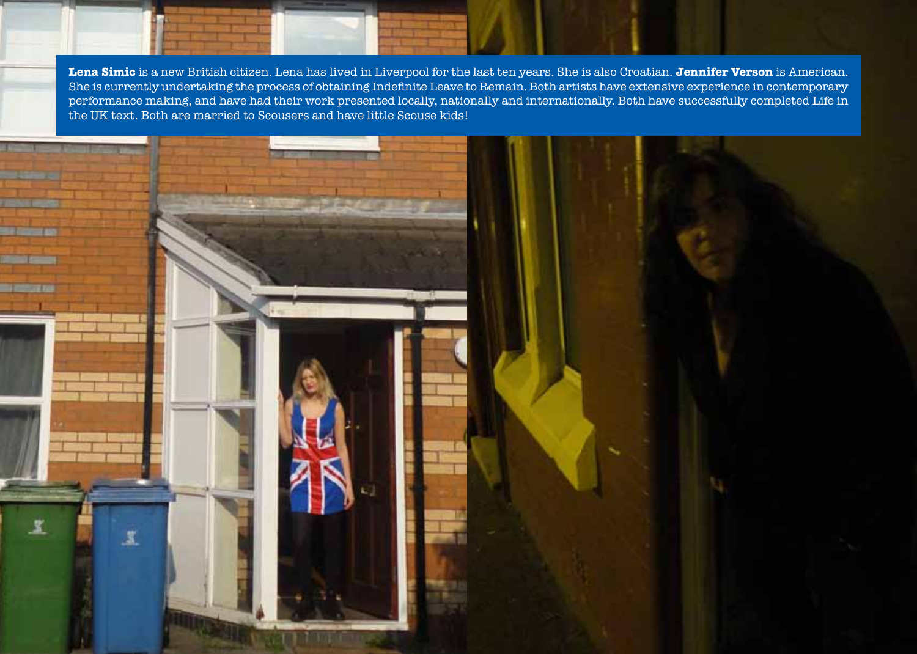**Lena Simic** is a new British citizen. Lena has lived in Liverpool for the last ten years. She is also Croatian. **Jennifer Verson** is American. She is currently undertaking the process of obtaining Indefinite Leave to Remain. Both artists have extensive experience in contemporary performance making, and have had their work presented locally, nationally and internationally. Both have successfully completed Life in the UK text. Both are married to Scousers and have little Scouse kids!

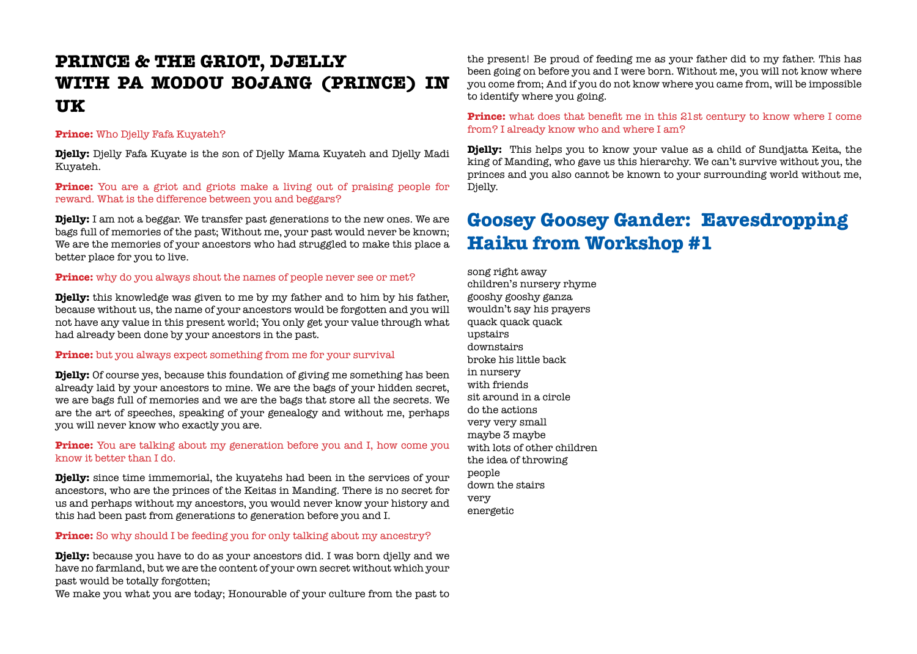## **PRINCE & THE GRIOT, DJELLY WITH PA MODOU BOJANG (PRINCE) IN ITK**

## **Prince:** Who Djelly Fafa Kuyateh?

**Djelly:** Djelly Fafa Kuyate is the son of Djelly Mama Kuyateh and Djelly Madi Kuyateh.

**Prince:** You are a griot and griots make a living out of praising people for reward. What is the difference between you and beggars?

**Djelly:** I am not a beggar. We transfer past generations to the new ones. We are bags full of memories of the past; Without me, your past would never be known; We are the memories of your ancestors who had struggled to make this place a better place for you to live.

## **Prince:** why do you always shout the names of people never see or met?

**Djelly:** this knowledge was given to me by my father and to him by his father, because without us, the name of your ancestors would be forgotten and you will not have any value in this present world; You only get your value through what had already been done by your ancestors in the past.

## **Prince:** but you always expect something from me for your survival

**Dielly:** Of course yes, because this foundation of giving me something has been already laid by your ancestors to mine. We are the bags of your hidden secret, we are bags full of memories and we are the bags that store all the secrets. We are the art of speeches, speaking of your genealogy and without me, perhaps you will never know who exactly you are.

## **Prince:** You are talking about my generation before you and I, how come you know it better than I do.

**Djelly:** since time immemorial, the kuyatehs had been in the services of your ancestors, who are the princes of the Keitas in Manding. There is no secret for us and perhaps without my ancestors, you would never know your history and this had been past from generations to generation before you and I.

**Prince:** So why should I be feeding you for only talking about my ancestry?

**Djelly:** because you have to do as your ancestors did. I was born djelly and we have no farmland, but we are the content of your own secret without which your past would be totally forgotten;

We make you what you are today; Honourable of your culture from the past to

the present! Be proud of feeding me as your father did to my father. This has been going on before you and I were born. Without me, you will not know where you come from; And if you do not know where you came from, will be impossible to identify where you going.

**Prince:** what does that benefit me in this 21st century to know where I come from? I already know who and where I am?

**Djelly:** This helps you to know your value as a child of Sundjatta Keita, the king of Manding, who gave us this hierarchy. We can't survive without you, the princes and you also cannot be known to your surrounding world without me, Dielly.

## **Goosey Goosey Gander: Eavesdropping Haiku from Workshop #1**

song right away children's nursery rhyme gooshy gooshy ganza wouldn't say his prayers quack quack quack upstairs downstairs broke his little back in nursery with friends sit around in a circle do the actions very very small maybe 3 maybe with lots of other children the idea of throwing people down the stairs very energetic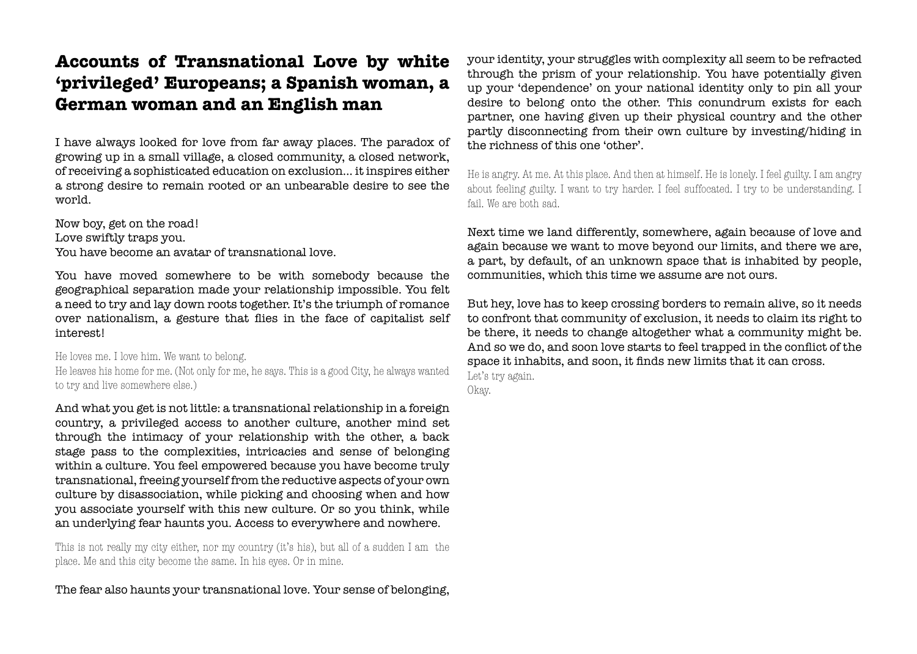## **Accounts of Transnational Love by white 'privileged' Europeans; a Spanish woman, a German woman and an English man**

I have always looked for love from far away places. The paradox of growing up in a small village, a closed community, a closed network, of receiving a sophisticated education on exclusion… it inspires either a strong desire to remain rooted or an unbearable desire to see the world.

Now boy, get on the road! Love swiftly traps you. You have become an avatar of transnational love.

You have moved somewhere to be with somebody because the geographical separation made your relationship impossible. You felt a need to try and lay down roots together. It's the triumph of romance over nationalism, a gesture that flies in the face of capitalist self interest!

He loves me. I love him. We want to belong.

He leaves his home for me. (Not only for me, he says. This is a good City, he always wanted to try and live somewhere else.)

And what you get is not little: a transnational relationship in a foreign country, a privileged access to another culture, another mind set through the intimacy of your relationship with the other, a back stage pass to the complexities, intricacies and sense of belonging within a culture. You feel empowered because you have become truly transnational, freeing yourself from the reductive aspects of your own culture by disassociation, while picking and choosing when and how you associate yourself with this new culture. Or so you think, while an underlying fear haunts you. Access to everywhere and nowhere.

This is not really my city either, nor my country (it's his), but all of a sudden I am the place. Me and this city become the same. In his eyes. Or in mine.

The fear also haunts your transnational love. Your sense of belonging,

your identity, your struggles with complexity all seem to be refracted through the prism of your relationship. You have potentially given up your 'dependence' on your national identity only to pin all your desire to belong onto the other. This conundrum exists for each partner, one having given up their physical country and the other partly disconnecting from their own culture by investing/hiding in the richness of this one 'other'.

He is angry. At me. At this place. And then at himself. He is lonely. I feel guilty. I am angry about feeling guilty. I want to try harder. I feel suffocated. I try to be understanding. I fail. We are both sad.

Next time we land differently, somewhere, again because of love and again because we want to move beyond our limits, and there we are, a part, by default, of an unknown space that is inhabited by people, communities, which this time we assume are not ours.

But hey, love has to keep crossing borders to remain alive, so it needs to confront that community of exclusion, it needs to claim its right to be there, it needs to change altogether what a community might be. And so we do, and soon love starts to feel trapped in the conflict of the space it inhabits, and soon, it finds new limits that it can cross.

Let's try again. Okay.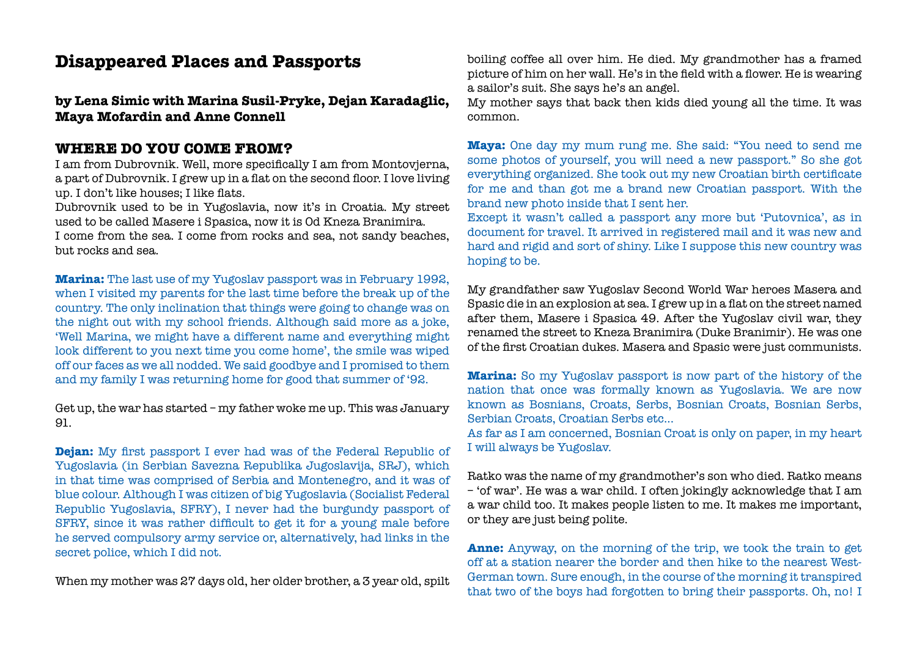## **Disappeared Places and Passports**

## **by Lena Simic with Marina Susil-Pryke, Dejan Karadaglic, Maya Mofardin and Anne Connell**

## **WHERE DO YOU COME FROM?**

I am from Dubrovnik. Well, more specifically I am from Montovjerna, a part of Dubrovnik. I grew up in a flat on the second floor. I love living up. I don't like houses; I like flats.

Dubrovnik used to be in Yugoslavia, now it's in Croatia. My street used to be called Masere i Spasica, now it is Od Kneza Branimira.

I come from the sea. I come from rocks and sea, not sandy beaches, but rocks and sea.

**Marina:** The last use of my Yugoslav passport was in February 1992, when I visited my parents for the last time before the break up of the country. The only inclination that things were going to change was on the night out with my school friends. Although said more as a joke, 'Well Marina, we might have a different name and everything might look different to you next time you come home', the smile was wiped off our faces as we all nodded. We said goodbye and I promised to them and my family I was returning home for good that summer of '92.

Get up, the war has started – my father woke me up. This was January 91.

**Dejan:** My first passport I ever had was of the Federal Republic of Yugoslavia (in Serbian Savezna Republika Jugoslavija, SRJ), which in that time was comprised of Serbia and Montenegro, and it was of blue colour. Although I was citizen of big Yugoslavia (Socialist Federal Republic Yugoslavia, SFRY), I never had the burgundy passport of SFRY, since it was rather difficult to get it for a young male before he served compulsory army service or, alternatively, had links in the secret police, which I did not.

When my mother was 27 days old, her older brother, a 3 year old, spilt

boiling coffee all over him. He died. My grandmother has a framed picture of him on her wall. He's in the field with a flower. He is wearing a sailor's suit. She says he's an angel.

My mother says that back then kids died young all the time. It was common.

**Maya:** One day my mum rung me. She said: "You need to send me some photos of yourself, you will need a new passport." So she got everything organized. She took out my new Croatian birth certificate for me and than got me a brand new Croatian passport. With the brand new photo inside that I sent her.

Except it wasn't called a passport any more but 'Putovnica', as in document for travel. It arrived in registered mail and it was new and hard and rigid and sort of shiny. Like I suppose this new country was hoping to be.

My grandfather saw Yugoslav Second World War heroes Masera and Spasic die in an explosion at sea. I grew up in a flat on the street named after them, Masere i Spasica 49. After the Yugoslav civil war, they renamed the street to Kneza Branimira (Duke Branimir). He was one of the first Croatian dukes. Masera and Spasic were just communists.

**Marina:** So my Yugoslav passport is now part of the history of the nation that once was formally known as Yugoslavia. We are now known as Bosnians, Croats, Serbs, Bosnian Croats, Bosnian Serbs, Serbian Croats, Croatian Serbs etc...

As far as I am concerned, Bosnian Croat is only on paper, in my heart I will always be Yugoslav.

Ratko was the name of my grandmother's son who died. Ratko means – 'of war'. He was a war child. I often jokingly acknowledge that I am a war child too. It makes people listen to me. It makes me important, or they are just being polite.

**Anne:** Anyway, on the morning of the trip, we took the train to get off at a station nearer the border and then hike to the nearest West-German town. Sure enough, in the course of the morning it transpired that two of the boys had forgotten to bring their passports. Oh, no! I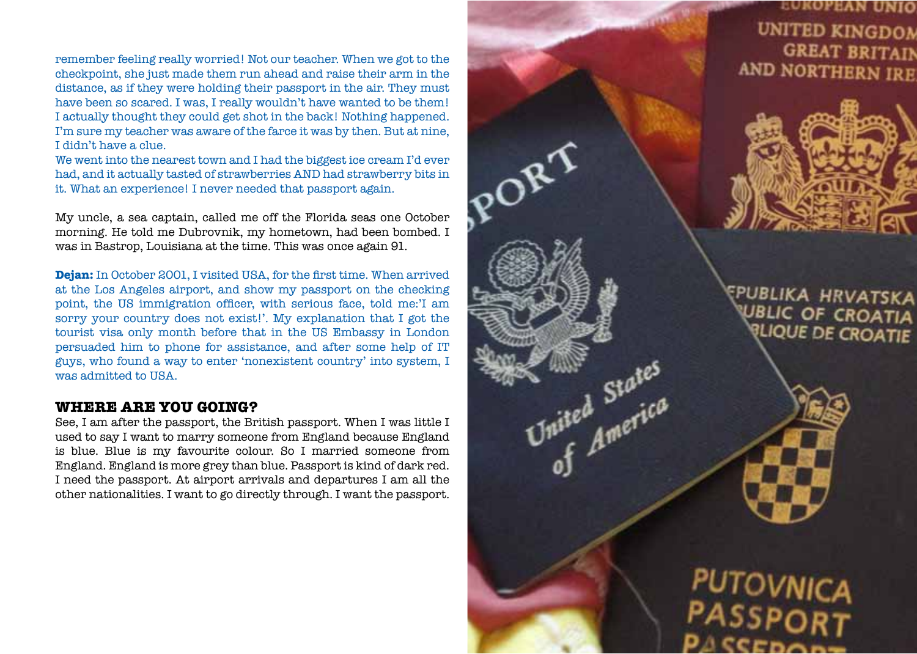remember feeling really worried! Not our teacher. When we got to the checkpoint, she just made them run ahead and raise their arm in the distance, as if they were holding their passport in the air. They must have been so scared. I was, I really wouldn't have wanted to be them! I actually thought they could get shot in the back! Nothing happened. I'm sure my teacher was aware of the farce it was by then. But at nine, I didn't have a clue.

We went into the nearest town and I had the biggest ice cream I'd ever had, and it actually tasted of strawberries AND had strawberry bits in it. What an experience! I never needed that passport again.

My uncle, a sea captain, called me off the Florida seas one October morning. He told me Dubrovnik, my hometown, had been bombed. I was in Bastrop, Louisiana at the time. This was once again 91.

**Dejan:** In October 2001, I visited USA, for the first time. When arrived at the Los Angeles airport, and show my passport on the checking point, the US immigration officer, with serious face, told me:'I am sorry your country does not exist!'. My explanation that I got the tourist visa only month before that in the US Embassy in London persuaded him to phone for assistance, and after some help of IT guys, who found a way to enter 'nonexistent country' into system, I was admitted to USA.

## **WHERE ARE YOU GOING?**

See, I am after the passport, the British passport. When I was little I used to say I want to marry someone from England because England is blue. Blue is my favourite colour. So I married someone from England. England is more grey than blue. Passport is kind of dark red. I need the passport. At airport arrivals and departures I am all the other nationalities. I want to go directly through. I want the passport.

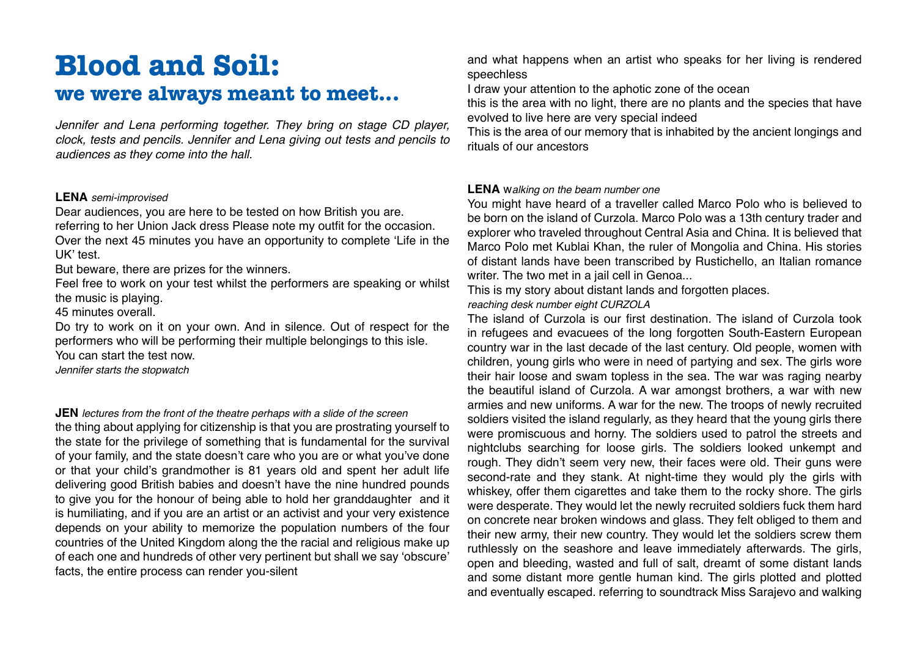# **Blood and Soil: we were always meant to meet...**

*Jennifer and Lena performing together. They bring on stage CD player, clock, tests and pencils. Jennifer and Lena giving out tests and pencils to audiences as they come into the hall.*

## **LENA** *semi-improvised*

Dear audiences, you are here to be tested on how British you are. referring to her Union Jack dress Please note my outfit for the occasion. Over the next 45 minutes you have an opportunity to complete 'Life in the UK' test.

But beware, there are prizes for the winners.

Feel free to work on your test whilst the performers are speaking or whilst the music is playing.

45 minutes overall.

Do try to work on it on your own. And in silence. Out of respect for the performers who will be performing their multiple belongings to this isle. You can start the test now.

*Jennifer starts the stopwatch*

## **JEN** *lectures from the front of the theatre perhaps with a slide of the screen*

the thing about applying for citizenship is that you are prostrating yourself to the state for the privilege of something that is fundamental for the survival of your family, and the state doesn't care who you are or what you've done or that your child's grandmother is 81 years old and spent her adult life delivering good British babies and doesn't have the nine hundred pounds to give you for the honour of being able to hold her granddaughter and it is humiliating, and if you are an artist or an activist and your very existence depends on your ability to memorize the population numbers of the four countries of the United Kingdom along the the racial and religious make up of each one and hundreds of other very pertinent but shall we say 'obscure' facts, the entire process can render you-silent

and what happens when an artist who speaks for her living is rendered speechless

I draw your attention to the aphotic zone of the ocean

this is the area with no light, there are no plants and the species that have evolved to live here are very special indeed

This is the area of our memory that is inhabited by the ancient longings and rituals of our ancestors

## **LENA** w*alking on the beam number one*

You might have heard of a traveller called Marco Polo who is believed to be born on the island of Curzola. Marco Polo was a 13th century trader and explorer who traveled throughout Central Asia and China. It is believed that Marco Polo met Kublai Khan, the ruler of Mongolia and China. His stories of distant lands have been transcribed by Rustichello, an Italian romance writer. The two met in a jail cell in Genoa...

This is my story about distant lands and forgotten places.

## *reaching desk number eight CURZOLA*

The island of Curzola is our first destination. The island of Curzola took in refugees and evacuees of the long forgotten South-Eastern European country war in the last decade of the last century. Old people, women with children, young girls who were in need of partying and sex. The girls wore their hair loose and swam topless in the sea. The war was raging nearby the beautiful island of Curzola. A war amongst brothers, a war with new armies and new uniforms. A war for the new. The troops of newly recruited soldiers visited the island regularly, as they heard that the young girls there were promiscuous and horny. The soldiers used to patrol the streets and nightclubs searching for loose girls. The soldiers looked unkempt and rough. They didn't seem very new, their faces were old. Their guns were second-rate and they stank. At night-time they would ply the girls with whiskey, offer them cigarettes and take them to the rocky shore. The girls were desperate. They would let the newly recruited soldiers fuck them hard on concrete near broken windows and glass. They felt obliged to them and their new army, their new country. They would let the soldiers screw them ruthlessly on the seashore and leave immediately afterwards. The girls, open and bleeding, wasted and full of salt, dreamt of some distant lands and some distant more gentle human kind. The girls plotted and plotted and eventually escaped. referring to soundtrack Miss Sarajevo and walking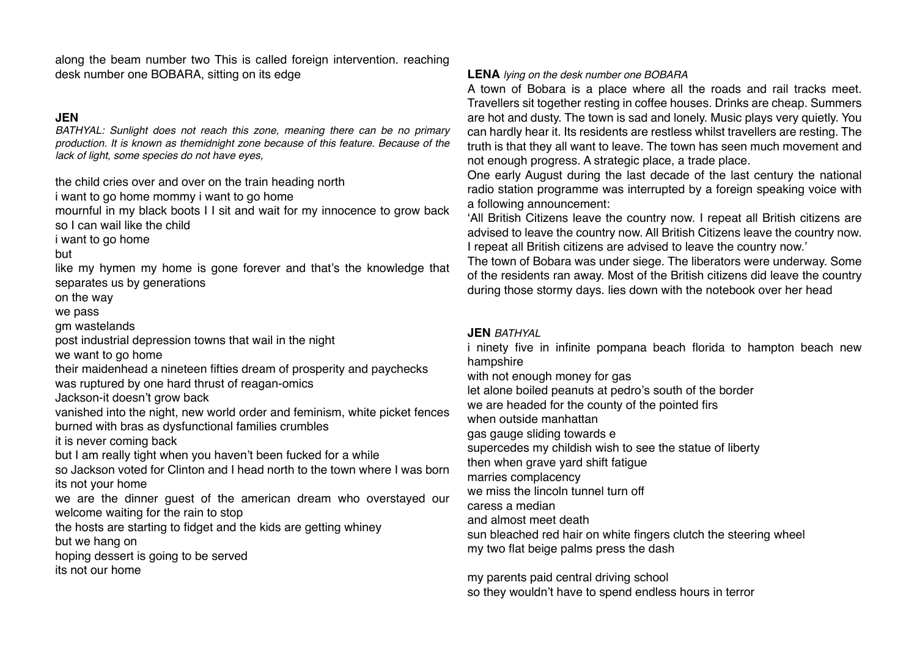along the beam number two This is called foreign intervention. reaching desk number one BOBARA, sitting on its edge

## **JEN**

*BATHYAL: Sunlight does not reach this zone, meaning there can be no primary production. It is known as themidnight zone because of this feature. Because of the lack of light, some species do not have eyes,*

the child cries over and over on the train heading north

i want to go home mommy i want to go home

mournful in my black boots I I sit and wait for my innocence to grow back so I can wail like the child

i want to go home

but

like my hymen my home is gone forever and that's the knowledge that separates us by generations

on the way

we pass

gm wastelands

post industrial depression towns that wail in the night

we want to go home

their maidenhead a nineteen fifties dream of prosperity and paychecks was ruptured by one hard thrust of reagan-omics

Jackson-it doesn't grow back

vanished into the night, new world order and feminism, white picket fences burned with bras as dysfunctional families crumbles

it is never coming back

but I am really tight when you haven't been fucked for a while

so Jackson voted for Clinton and I head north to the town where I was born its not your home

we are the dinner guest of the american dream who overstayed our welcome waiting for the rain to stop

the hosts are starting to fidget and the kids are getting whiney

but we hang on

hoping dessert is going to be served its not our home

## **LENA** *lying on the desk number one BOBARA*

A town of Bobara is a place where all the roads and rail tracks meet. Travellers sit together resting in coffee houses. Drinks are cheap. Summers are hot and dusty. The town is sad and lonely. Music plays very quietly. You can hardly hear it. Its residents are restless whilst travellers are resting. The truth is that they all want to leave. The town has seen much movement and not enough progress. A strategic place, a trade place.

One early August during the last decade of the last century the national radio station programme was interrupted by a foreign speaking voice with a following announcement:

'All British Citizens leave the country now. I repeat all British citizens are advised to leave the country now. All British Citizens leave the country now. I repeat all British citizens are advised to leave the country now.'

The town of Bobara was under siege. The liberators were underway. Some of the residents ran away. Most of the British citizens did leave the country during those stormy days. lies down with the notebook over her head

## **JEN** *BATHYAL*

i ninety five in infinite pompana beach florida to hampton beach new hampshire with not enough money for gas let alone boiled peanuts at pedro's south of the border we are headed for the county of the pointed firs when outside manhattan gas gauge sliding towards e supercedes my childish wish to see the statue of liberty then when grave yard shift fatigue marries complacency we miss the lincoln tunnel turn off caress a median and almost meet death

sun bleached red hair on white fingers clutch the steering wheel my two flat beige palms press the dash

my parents paid central driving school so they wouldn't have to spend endless hours in terror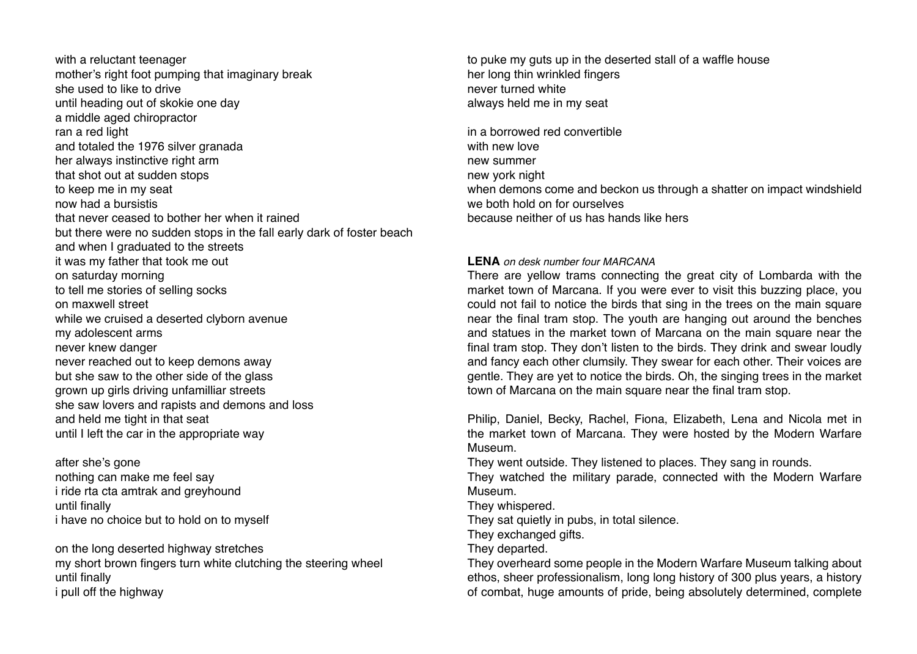with a reluctant teenager mother's right foot pumping that imaginary break she used to like to drive until heading out of skokie one day a middle aged chiropractor ran a red light and totaled the 1976 silver granada her always instinctive right arm that shot out at sudden stops to keep me in my seat now had a bursistis that never ceased to bother her when it rained but there were no sudden stops in the fall early dark of foster beach and when I graduated to the streets it was my father that took me out on saturday morning to tell me stories of selling socks on maxwell street while we cruised a deserted clyborn avenue my adolescent arms never knew danger never reached out to keep demons away but she saw to the other side of the glass grown up girls driving unfamilliar streets she saw lovers and rapists and demons and loss and held me tight in that seat until I left the car in the appropriate way

after she's gone nothing can make me feel say i ride rta cta amtrak and greyhound until finally i have no choice but to hold on to myself

on the long deserted highway stretches my short brown fingers turn white clutching the steering wheel until finally i pull off the highway

to puke my guts up in the deserted stall of a waffle house her long thin wrinkled fingers never turned white always held me in my seat

in a borrowed red convertible with new love new summer new york night when demons come and beckon us through a shatter on impact windshield we both hold on for ourselves because neither of us has hands like hers

## **LENA** *on desk number four MARCANA*

There are yellow trams connecting the great city of Lombarda with the market town of Marcana. If you were ever to visit this buzzing place, you could not fail to notice the birds that sing in the trees on the main square near the final tram stop. The youth are hanging out around the benches and statues in the market town of Marcana on the main square near the final tram stop. They don't listen to the birds. They drink and swear loudly and fancy each other clumsily. They swear for each other. Their voices are gentle. They are yet to notice the birds. Oh, the singing trees in the market town of Marcana on the main square near the final tram stop.

Philip, Daniel, Becky, Rachel, Fiona, Elizabeth, Lena and Nicola met in the market town of Marcana. They were hosted by the Modern Warfare Museum.

They went outside. They listened to places. They sang in rounds.

They watched the military parade, connected with the Modern Warfare Museum.

They whispered.

They sat quietly in pubs, in total silence.

They exchanged gifts.

They departed.

They overheard some people in the Modern Warfare Museum talking about ethos, sheer professionalism, long long history of 300 plus years, a history of combat, huge amounts of pride, being absolutely determined, complete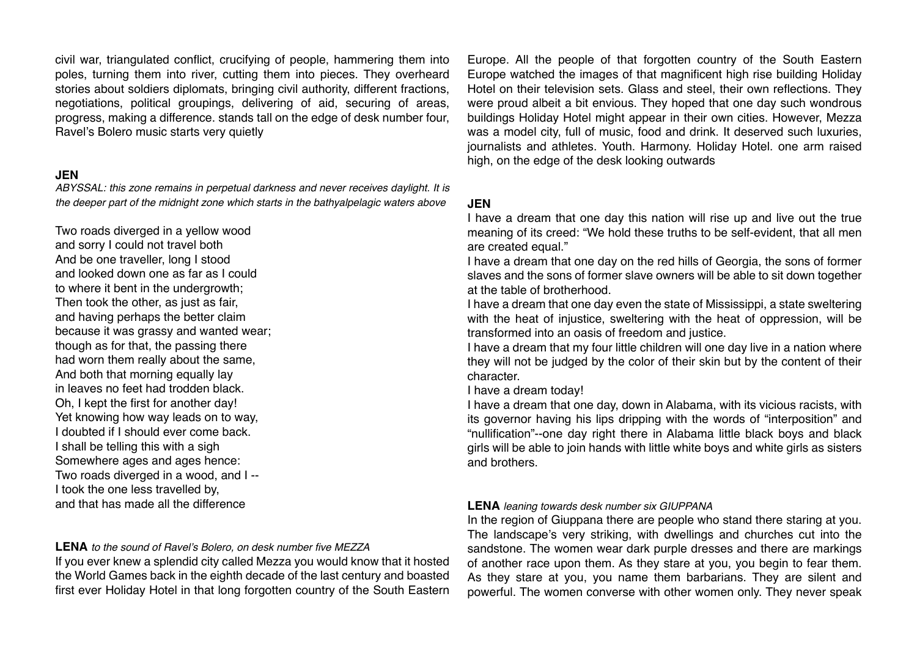civil war, triangulated conflict, crucifying of people, hammering them into poles, turning them into river, cutting them into pieces. They overheard stories about soldiers diplomats, bringing civil authority, different fractions, negotiations, political groupings, delivering of aid, securing of areas, progress, making a difference. stands tall on the edge of desk number four, Ravel's Bolero music starts very quietly

## **JEN**

*ABYSSAL: this zone remains in perpetual darkness and never receives daylight. It is the deeper part of the midnight zone which starts in the bathyalpelagic waters above*

Two roads diverged in a yellow wood and sorry I could not travel both And be one traveller, long I stood and looked down one as far as I could to where it bent in the undergrowth; Then took the other, as just as fair, and having perhaps the better claim because it was grassy and wanted wear; though as for that, the passing there had worn them really about the same, And both that morning equally lay in leaves no feet had trodden black. Oh, I kept the first for another day! Yet knowing how way leads on to way, I doubted if I should ever come back. I shall be telling this with a sigh Somewhere ages and ages hence: Two roads diverged in a wood, and I -- I took the one less travelled by, and that has made all the difference

## **LENA** to the sound of Ravel's Bolero, on desk number five MEZZA

If you ever knew a splendid city called Mezza you would know that it hosted the World Games back in the eighth decade of the last century and boasted first ever Holiday Hotel in that long forgotten country of the South Eastern Europe. All the people of that forgotten country of the South Eastern Europe watched the images of that magnificent high rise building Holiday Hotel on their television sets. Glass and steel, their own reflections. They were proud albeit a bit envious. They hoped that one day such wondrous buildings Holiday Hotel might appear in their own cities. However, Mezza was a model city, full of music, food and drink. It deserved such luxuries, journalists and athletes. Youth. Harmony. Holiday Hotel. one arm raised high, on the edge of the desk looking outwards

## **JEN**

I have a dream that one day this nation will rise up and live out the true meaning of its creed: "We hold these truths to be self-evident, that all men are created equal."

I have a dream that one day on the red hills of Georgia, the sons of former slaves and the sons of former slave owners will be able to sit down together at the table of brotherhood.

I have a dream that one day even the state of Mississippi, a state sweltering with the heat of injustice, sweltering with the heat of oppression, will be transformed into an oasis of freedom and justice.

I have a dream that my four little children will one day live in a nation where they will not be judged by the color of their skin but by the content of their character.

I have a dream today!

I have a dream that one day, down in Alabama, with its vicious racists, with its governor having his lips dripping with the words of "interposition" and "nullification"--one day right there in Alabama little black boys and black girls will be able to join hands with little white boys and white girls as sisters and brothers.

## **LENA** *leaning towards desk number six GIUPPANA*

In the region of Giuppana there are people who stand there staring at you. The landscape's very striking, with dwellings and churches cut into the sandstone. The women wear dark purple dresses and there are markings of another race upon them. As they stare at you, you begin to fear them. As they stare at you, you name them barbarians. They are silent and powerful. The women converse with other women only. They never speak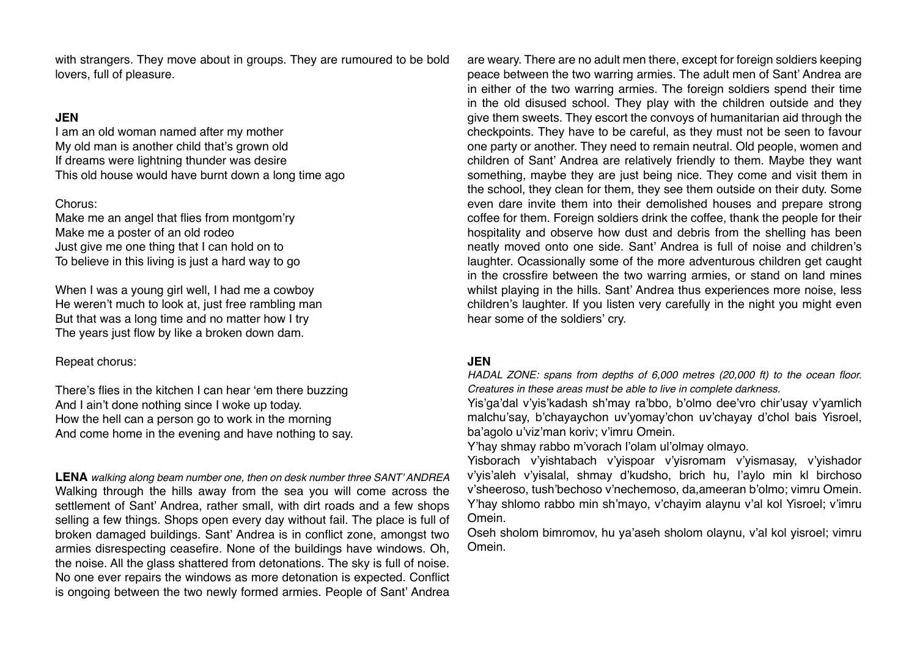with strangers. They move about in groups. They are rumoured to be bold lovers, full of pleasure.

## **JEN**

I am an old woman named after my mother My old man is another child that's grown old If dreams were lightning thunder was desire This old house would have burnt down a long time ago

## Chorus:

Make me an angel that flies from montgom'ry Make me a poster of an old rodeo Just give me one thing that I can hold on to To believe in this living is just a hard way to go

When I was a young girl well, I had me a cowboy He weren't much to look at, just free rambling man But that was a long time and no matter how I try The years just flow by like a broken down dam.

## Repeat chorus:

There's flies in the kitchen I can hear 'em there buzzing And I ain't done nothing since I woke up today. How the hell can a person go to work in the morning And come home in the evening and have nothing to say.

**LENA** walking along beam number one, then on desk number three SANT' ANDREA Walking through the hills away from the sea you will come across the settlement of Sant' Andrea, rather small, with dirt roads and a few shops selling a few things. Shops open every day without fail. The place is full of broken damaged buildings. Sant' Andrea is in conflict zone, amongst two armies disrespecting ceasefire. None of the buildings have windows. Oh, the noise. All the glass shattered from detonations. The sky is full of noise. No one ever repairs the windows as more detonation is expected. Conflict is ongoing between the two newly formed armies. People of Sant' Andrea are weary. There are no adult men there, except for foreign soldiers keeping peace between the two warring armies. The adult men of Sant' Andrea are in either of the two warring armies. The foreign soldiers spend their time in the old disused school. They play with the children outside and they give them sweets. They escort the convoys of humanitarian aid through the checkpoints. They have to be careful, as they must not be seen to favour one party or another. They need to remain neutral. Old people, women and children of Sant' Andrea are relatively friendly to them. Maybe they want something, maybe they are just being nice. They come and visit them in the school, they clean for them, they see them outside on their duty. Some even dare invite them into their demolished houses and prepare strong coffee for them. Foreign soldiers drink the coffee, thank the people for their hospitality and observe how dust and debris from the shelling has been neatly moved onto one side. Sant' Andrea is full of noise and children's laughter. Ocassionally some of the more adventurous children get caught in the crossfire between the two warring armies, or stand on land mines whilst playing in the hills. Sant' Andrea thus experiences more noise, less children's laughter. If you listen very carefully in the night you might even hear some of the soldiers' cry.

## **JEN**

HADAL ZONE: spans from depths of 6,000 metres (20,000 ft) to the ocean floor. *Creatures in these areas must be able to live in complete darkness.*

Yis'ga'dal v'yis'kadash sh'may ra'bbo, b'olmo dee'vro chir'usay v'yamlich malchu'say, b'chayaychon uv'yomay'chon uv'chayay d'chol bais Yisroel, ba'agolo u'viz'man koriv; v'imru Omein.

Y'hay shmay rabbo m'vorach l'olam ul'olmay olmayo.

Yisborach v'yishtabach v'yispoar v'yisromam v'yismasay, v'yishador v'yis'aleh v'yisalal, shmay d'kudsho, brich hu, l'aylo min kl birchoso v'sheeroso, tush'bechoso v'nechemoso, da,ameeran b'olmo; vimru Omein. Y'hay shlomo rabbo min sh'mayo, v'chayim alaynu v'al kol Yisroel; v'imru Omein.

Oseh sholom bimromov, hu ya'aseh sholom olaynu, v'al kol yisroel; vimru Omein.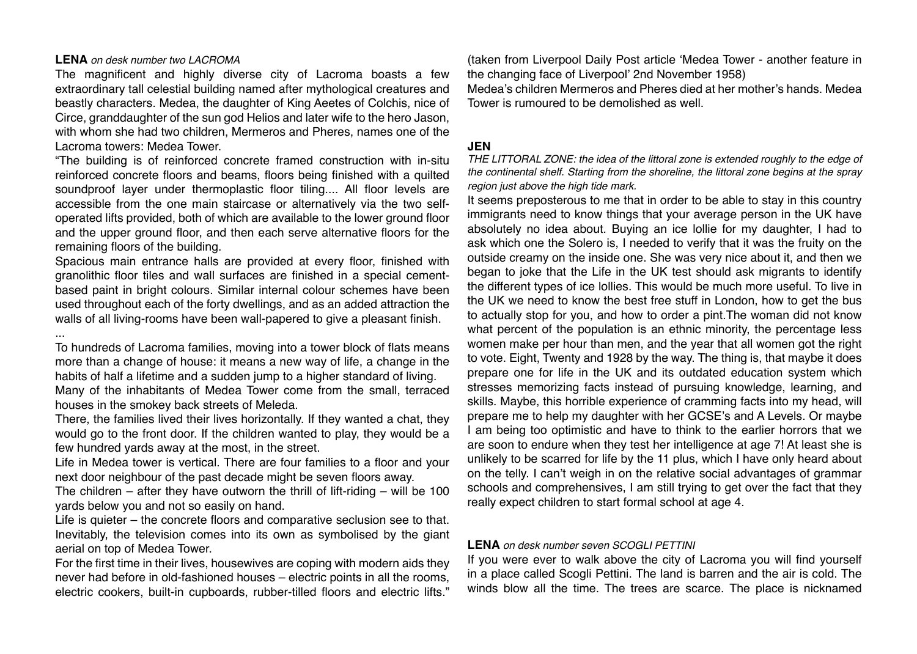## **LENA** *on desk number two LACROMA*

The magnificent and highly diverse city of Lacroma boasts a few extraordinary tall celestial building named after mythological creatures and beastly characters. Medea, the daughter of King Aeetes of Colchis, nice of Circe, granddaughter of the sun god Helios and later wife to the hero Jason, with whom she had two children. Mermeros and Pheres, names one of the Lacroma towers: Medea Tower.

"The building is of reinforced concrete framed construction with in-situ reinforced concrete floors and beams, floors being finished with a quilted soundproof layer under thermoplastic floor tiling.... All floor levels are accessible from the one main staircase or alternatively via the two selfoperated lifts provided, both of which are available to the lower ground floor and the upper ground floor, and then each serve alternative floors for the remaining floors of the building.

Spacious main entrance halls are provided at every floor, finished with granolithic floor tiles and wall surfaces are finished in a special cementbased paint in bright colours. Similar internal colour schemes have been used throughout each of the forty dwellings, and as an added attraction the walls of all living-rooms have been wall-papered to give a pleasant finish.

... To hundreds of Lacroma families, moving into a tower block of flats means more than a change of house: it means a new way of life, a change in the habits of half a lifetime and a sudden jump to a higher standard of living.

Many of the inhabitants of Medea Tower come from the small, terraced houses in the smokey back streets of Meleda.

There, the families lived their lives horizontally. If they wanted a chat, they would go to the front door. If the children wanted to play, they would be a few hundred yards away at the most, in the street.

Life in Medea tower is vertical. There are four families to a floor and your next door neighbour of the past decade might be seven floors away.

The children – after they have outworn the thrill of lift-riding – will be 100 yards below you and not so easily on hand.

Life is quieter – the concrete floors and comparative seclusion see to that. Inevitably, the television comes into its own as symbolised by the giant aerial on top of Medea Tower.

For the first time in their lives, housewives are coping with modern aids they never had before in old-fashioned houses – electric points in all the rooms, electric cookers, built-in cupboards, rubber-tilled floors and electric lifts." (taken from Liverpool Daily Post article 'Medea Tower - another feature in the changing face of Liverpool' 2nd November 1958)

Medea's children Mermeros and Pheres died at her mother's hands. Medea Tower is rumoured to be demolished as well.

## **JEN**

THE LITTORAL ZONE: the idea of the littoral zone is extended roughly to the edge of *the continental shelf. Starting from the shoreline, the littoral zone begins at the spray region just above the high tide mark.*

It seems preposterous to me that in order to be able to stay in this country immigrants need to know things that your average person in the UK have absolutely no idea about. Buying an ice lollie for my daughter, I had to ask which one the Solero is, I needed to verify that it was the fruity on the outside creamy on the inside one. She was very nice about it, and then we began to joke that the Life in the UK test should ask migrants to identify the different types of ice lollies. This would be much more useful. To live in the UK we need to know the best free stuff in London, how to get the bus to actually stop for you, and how to order a pint.The woman did not know what percent of the population is an ethnic minority, the percentage less women make per hour than men, and the year that all women got the right to vote. Eight, Twenty and 1928 by the way. The thing is, that maybe it does prepare one for life in the UK and its outdated education system which stresses memorizing facts instead of pursuing knowledge, learning, and skills. Maybe, this horrible experience of cramming facts into my head, will prepare me to help my daughter with her GCSE's and A Levels. Or maybe I am being too optimistic and have to think to the earlier horrors that we are soon to endure when they test her intelligence at age 7! At least she is unlikely to be scarred for life by the 11 plus, which I have only heard about on the telly. I can't weigh in on the relative social advantages of grammar schools and comprehensives, I am still trying to get over the fact that they really expect children to start formal school at age 4.

## **LENA** on desk number seven SCOGLI PETTINI

If you were ever to walk above the city of Lacroma you will find yourself in a place called Scogli Pettini. The land is barren and the air is cold. The winds blow all the time. The trees are scarce. The place is nicknamed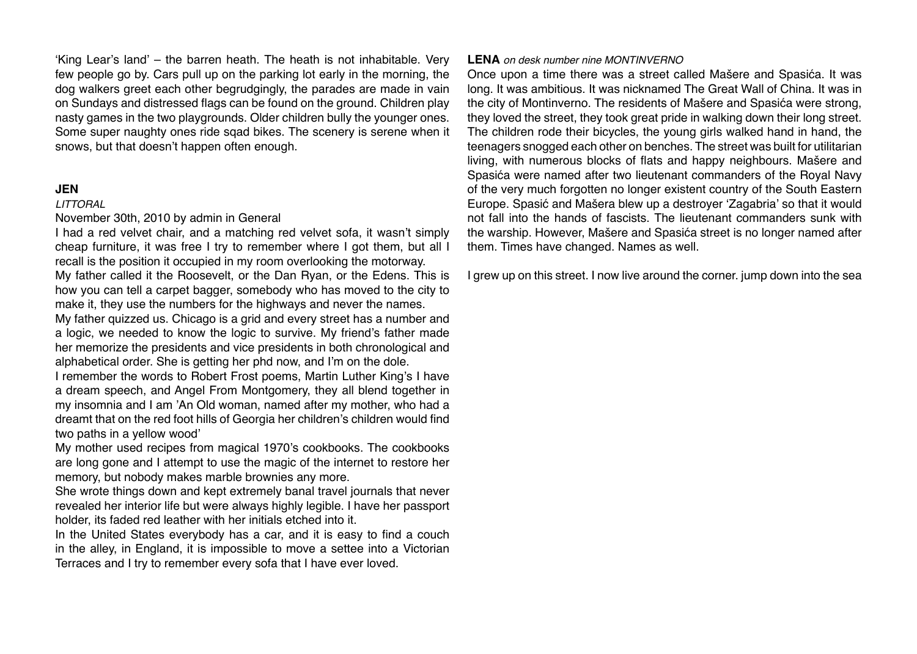'King Lear's land' – the barren heath. The heath is not inhabitable. Very few people go by. Cars pull up on the parking lot early in the morning, the dog walkers greet each other begrudgingly, the parades are made in vain on Sundays and distressed flags can be found on the ground. Children play nasty games in the two playgrounds. Older children bully the younger ones. Some super naughty ones ride sqad bikes. The scenery is serene when it snows, but that doesn't happen often enough.

## **JEN**

## *LITTORAL*

## November 30th, 2010 by admin in General

I had a red velvet chair, and a matching red velvet sofa, it wasn't simply cheap furniture, it was free I try to remember where I got them, but all I recall is the position it occupied in my room overlooking the motorway.

My father called it the Roosevelt, or the Dan Ryan, or the Edens. This is how you can tell a carpet bagger, somebody who has moved to the city to make it, they use the numbers for the highways and never the names.

My father quizzed us. Chicago is a grid and every street has a number and a logic, we needed to know the logic to survive. My friend's father made her memorize the presidents and vice presidents in both chronological and alphabetical order. She is getting her phd now, and I'm on the dole.

I remember the words to Robert Frost poems, Martin Luther King's I have a dream speech, and Angel From Montgomery, they all blend together in my insomnia and I am 'An Old woman, named after my mother, who had a dreamt that on the red foot hills of Georgia her children's children would find two paths in a yellow wood'

My mother used recipes from magical 1970's cookbooks. The cookbooks are long gone and I attempt to use the magic of the internet to restore her memory, but nobody makes marble brownies any more.

She wrote things down and kept extremely banal travel journals that never revealed her interior life but were always highly legible. I have her passport holder, its faded red leather with her initials etched into it.

In the United States everybody has a car, and it is easy to find a couch in the alley, in England, it is impossible to move a settee into a Victorian Terraces and I try to remember every sofa that I have ever loved.

## **LENA** on desk number nine MONTINVERNO

Once upon a time there was a street called Mašere and Spasića. It was long. It was ambitious. It was nicknamed The Great Wall of China. It was in the city of Montinverno. The residents of Mašere and Spasića were strong, they loved the street, they took great pride in walking down their long street. The children rode their bicycles, the young girls walked hand in hand, the teenagers snogged each other on benches. The street was built for utilitarian living, with numerous blocks of flats and happy neighbours. Mašere and Spasića were named after two lieutenant commanders of the Royal Navy of the very much forgotten no longer existent country of the South Eastern Europe. Spasić and Mašera blew up a destroyer 'Zagabria' so that it would not fall into the hands of fascists. The lieutenant commanders sunk with the warship. However, Mašere and Spasića street is no longer named after them. Times have changed. Names as well.

I grew up on this street. I now live around the corner. jump down into the sea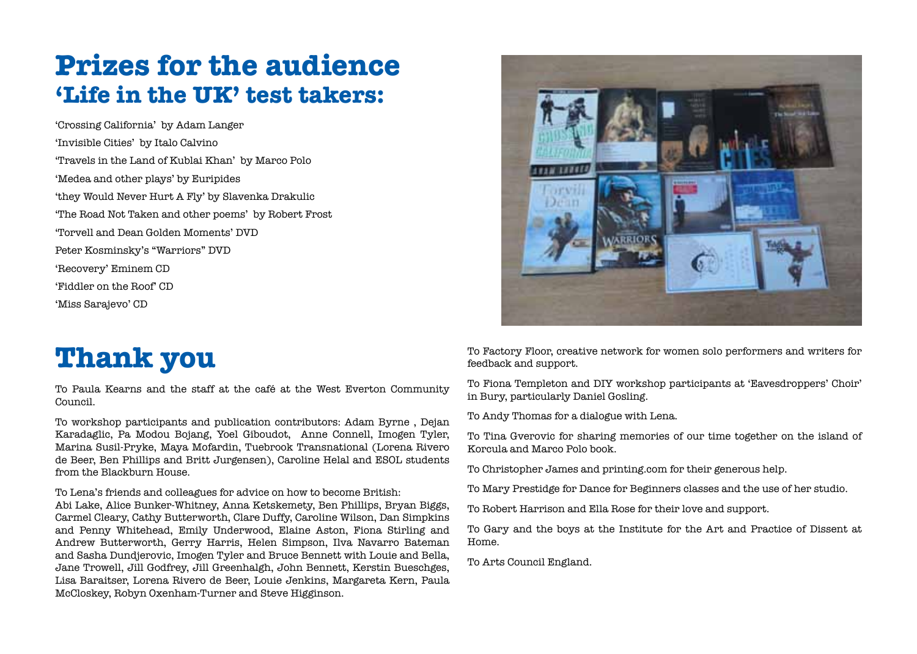# **Prizes for the audience 'Life in the UK' test takers:**

'Crossing California' by Adam Langer 'Invisible Cities' by Italo Calvino 'Travels in the Land of Kublai Khan' by Marco Polo 'Medea and other plays' by Euripides 'they Would Never Hurt A Fly' by Slavenka Drakulic 'The Road Not Taken and other poems' by Robert Frost 'Torvell and Dean Golden Moments' DVD Peter Kosminsky's "Warriors" DVD 'Recovery' Eminem CD 'Fiddler on the Roof' CD 'Miss Sarajevo' CD

# **Thank you**

To Paula Kearns and the staff at the café at the West Everton Community Council.

To workshop participants and publication contributors: Adam Byrne , Dejan Karadaglic, Pa Modou Bojang, Yoel Giboudot, Anne Connell, Imogen Tyler, Marina Susil-Pryke, Maya Mofardin, Tuebrook Transnational (Lorena Rivero de Beer, Ben Phillips and Britt Jurgensen), Caroline Helal and ESOL students from the Blackburn House.

## To Lena's friends and colleagues for advice on how to become British:

Abi Lake, Alice Bunker-Whitney, Anna Ketskemety, Ben Phillips, Bryan Biggs, Carmel Cleary, Cathy Butterworth, Clare Duffy, Caroline Wilson, Dan Simpkins and Penny Whitehead, Emily Underwood, Elaine Aston, Fiona Stirling and Andrew Butterworth, Gerry Harris, Helen Simpson, Ilva Navarro Bateman and Sasha Dundjerovic, Imogen Tyler and Bruce Bennett with Louie and Bella, Jane Trowell, Jill Godfrey, Jill Greenhalgh, John Bennett, Kerstin Bueschges, Lisa Baraitser, Lorena Rivero de Beer, Louie Jenkins, Margareta Kern, Paula McCloskey, Robyn Oxenham-Turner and Steve Higginson.



To Factory Floor, creative network for women solo performers and writers for feedback and support.

To Fiona Templeton and DIY workshop participants at 'Eavesdroppers' Choir' in Bury, particularly Daniel Gosling.

To Andy Thomas for a dialogue with Lena.

To Tina Gverovic for sharing memories of our time together on the island of Korcula and Marco Polo book.

- To Christopher James and printing.com for their generous help.
- To Mary Prestidge for Dance for Beginners classes and the use of her studio.
- To Robert Harrison and Ella Rose for their love and support.

To Gary and the boys at the Institute for the Art and Practice of Dissent at Home.

To Arts Council England.